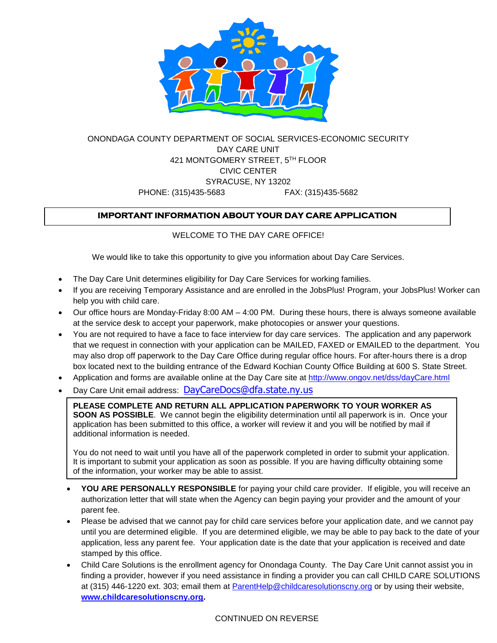

# ONONDAGA COUNTY DEPARTMENT OF SOCIAL SERVICES-ECONOMIC SECURITY DAY CARE UNIT 421 MONTGOMERY STREET, 5 TH FLOOR CIVIC CENTER SYRACUSE, NY 13202 PHONE: (315)435-5683 FAX: (315)435-5682

## **IMPORTANT INFORMATION ABOUT YOUR DAY CARE APPLICATION**

### WELCOME TO THE DAY CARE OFFICE!

We would like to take this opportunity to give you information about Day Care Services.

- The Day Care Unit determines eligibility for Day Care Services for working families.
- If you are receiving Temporary Assistance and are enrolled in the JobsPlus! Program, your JobsPlus! Worker can help you with child care.
- Our office hours are Monday-Friday 8:00 AM 4:00 PM. During these hours, there is always someone available at the service desk to accept your paperwork, make photocopies or answer your questions.
- You are not required to have a face to face interview for day care services. The application and any paperwork that we request in connection with your application can be MAILED, FAXED or EMAILED to the department. You may also drop off paperwork to the Day Care Office during regular office hours. For after-hours there is a drop box located next to the building entrance of the Edward Kochian County Office Building at 600 S. State Street.
- Application and forms are available online at the Day Care site at <http://www.ongov.net/dss/dayCare.html>
- Day Care Unit email address: [DayCareDocs@dfa.state.ny.us](mailto:DayCareDocs@dfa.state.ny.us)

**PLEASE COMPLETE AND RETURN ALL APPLICATION PAPERWORK TO YOUR WORKER AS SOON AS POSSIBLE**. We cannot begin the eligibility determination until all paperwork is in. Once your application has been submitted to this office, a worker will review it and you will be notified by mail if additional information is needed.

You do not need to wait until you have all of the paperwork completed in order to submit your application. It is important to submit your application as soon as possible. If you are having difficulty obtaining some of the information, your worker may be able to assist.

- **YOU ARE PERSONALLY RESPONSIBLE** for paying your child care provider. If eligible, you will receive an authorization letter that will state when the Agency can begin paying your provider and the amount of your parent fee.
- Please be advised that we cannot pay for child care services before your application date, and we cannot pay until you are determined eligible. If you are determined eligible, we may be able to pay back to the date of your application, less any parent fee. Your application date is the date that your application is received and date stamped by this office.
- Child Care Solutions is the enrollment agency for Onondaga County. The Day Care Unit cannot assist you in finding a provider, however if you need assistance in finding a provider you can call CHILD CARE SOLUTIONS at (315) 446-1220 ext. 303; email them at [ParentHelp@childcaresolutionscny.org](mailto:ParentHelp@childcaresolutionscny.org) or by using their website, **[www.childcaresolutionscny.org.](http://www.childcaresolutionscny.org/)**